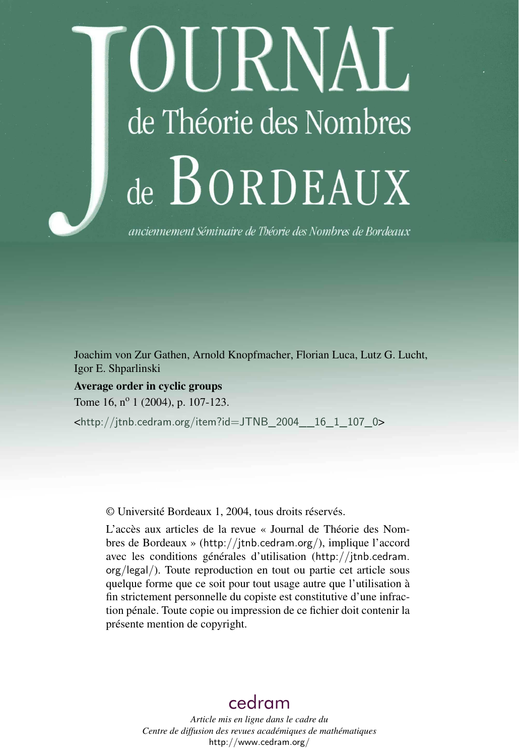# IIRNAL de Théorie des Nombres de BORDEAUX

anciennement Séminaire de Théorie des Nombres de Bordeaux

Joachim von Zur Gathen, Arnold Knopfmacher, Florian Luca, Lutz G. Lucht, Igor E. Shparlinski

Average order in cyclic groups Tome 16, n<sup>o</sup> 1 (2004), p. 107-123.

<[http://jtnb.cedram.org/item?id=JTNB\\_2004\\_\\_16\\_1\\_107\\_0](http://jtnb.cedram.org/item?id=JTNB_2004__16_1_107_0)>

© Université Bordeaux 1, 2004, tous droits réservés.

L'accès aux articles de la revue « Journal de Théorie des Nombres de Bordeaux » (<http://jtnb.cedram.org/>), implique l'accord avec les conditions générales d'utilisation ([http://jtnb.cedram.](http://jtnb.cedram.org/legal/) [org/legal/](http://jtnb.cedram.org/legal/)). Toute reproduction en tout ou partie cet article sous quelque forme que ce soit pour tout usage autre que l'utilisation à fin strictement personnelle du copiste est constitutive d'une infraction pénale. Toute copie ou impression de ce fichier doit contenir la présente mention de copyright.

## [cedram](http://www.cedram.org/)

*Article mis en ligne dans le cadre du Centre de diffusion des revues académiques de mathématiques* <http://www.cedram.org/>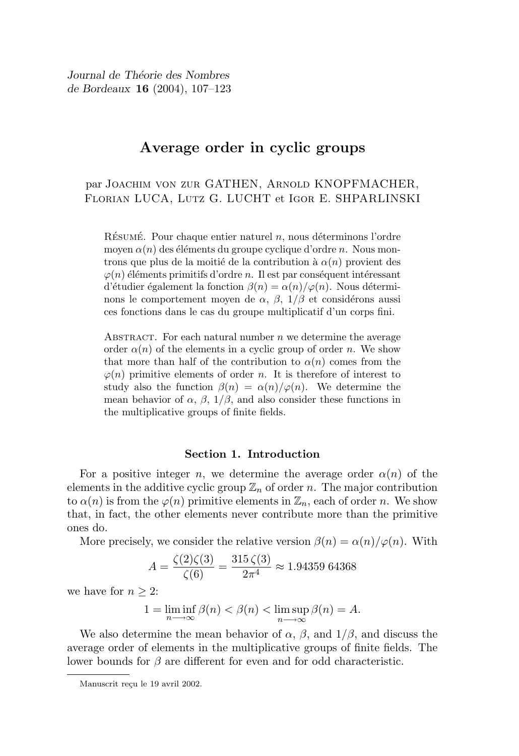Journal de Théorie des Nombres de Bordeaux 16 (2004), 107–123

### Average order in cyclic groups

par Joachim von zur GATHEN, Arnold KNOPFMACHER, Florian LUCA, Lutz G. LUCHT et Igor E. SHPARLINSKI

RÉSUMÉ. Pour chaque entier naturel n, nous déterminons l'ordre moyen  $\alpha(n)$  des éléments du groupe cyclique d'ordre n. Nous montrons que plus de la moitié de la contribution à  $\alpha(n)$  provient des  $\varphi(n)$  éléments primitifs d'ordre n. Il est par conséquent intéressant d'étudier également la fonction  $\beta(n) = \alpha(n)/\varphi(n)$ . Nous déterminons le comportement moyen de  $\alpha$ ,  $\beta$ ,  $1/\beta$  et considérons aussi ces fonctions dans le cas du groupe multiplicatif d'un corps fini.

ABSTRACT. For each natural number  $n$  we determine the average order  $\alpha(n)$  of the elements in a cyclic group of order n. We show that more than half of the contribution to  $\alpha(n)$  comes from the  $\varphi(n)$  primitive elements of order n. It is therefore of interest to study also the function  $\beta(n) = \alpha(n)/\varphi(n)$ . We determine the mean behavior of  $\alpha$ ,  $\beta$ ,  $1/\beta$ , and also consider these functions in the multiplicative groups of finite fields.

#### Section 1. Introduction

For a positive integer n, we determine the average order  $\alpha(n)$  of the elements in the additive cyclic group  $\mathbb{Z}_n$  of order n. The major contribution to  $\alpha(n)$  is from the  $\varphi(n)$  primitive elements in  $\mathbb{Z}_n$ , each of order n. We show that, in fact, the other elements never contribute more than the primitive ones do.

More precisely, we consider the relative version  $\beta(n) = \alpha(n)/\varphi(n)$ . With

$$
A = \frac{\zeta(2)\zeta(3)}{\zeta(6)} = \frac{315\,\zeta(3)}{2\pi^4} \approx 1.94359\ 64368
$$

we have for  $n \geq 2$ :

$$
1 = \liminf_{n \to \infty} \beta(n) < \beta(n) < \limsup_{n \to \infty} \beta(n) = A.
$$

We also determine the mean behavior of  $\alpha$ ,  $\beta$ , and  $1/\beta$ , and discuss the average order of elements in the multiplicative groups of finite fields. The lower bounds for  $\beta$  are different for even and for odd characteristic.

Manuscrit reçu le 19 avril 2002.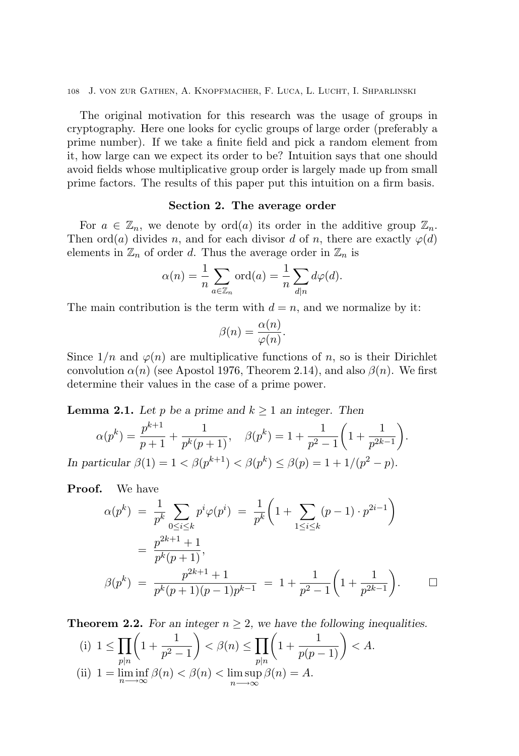The original motivation for this research was the usage of groups in cryptography. Here one looks for cyclic groups of large order (preferably a prime number). If we take a finite field and pick a random element from it, how large can we expect its order to be? Intuition says that one should avoid fields whose multiplicative group order is largely made up from small prime factors. The results of this paper put this intuition on a firm basis.

#### Section 2. The average order

For  $a \in \mathbb{Z}_n$ , we denote by  $\text{ord}(a)$  its order in the additive group  $\mathbb{Z}_n$ . Then ord(a) divides n, and for each divisor d of n, there are exactly  $\varphi(d)$ elements in  $\mathbb{Z}_n$  of order d. Thus the average order in  $\mathbb{Z}_n$  is

$$
\alpha(n) = \frac{1}{n} \sum_{a \in \mathbb{Z}_n} \text{ord}(a) = \frac{1}{n} \sum_{d|n} d\varphi(d).
$$

The main contribution is the term with  $d = n$ , and we normalize by it:

$$
\beta(n) = \frac{\alpha(n)}{\varphi(n)}.
$$

Since  $1/n$  and  $\varphi(n)$  are multiplicative functions of n, so is their Dirichlet convolution  $\alpha(n)$  (see Apostol 1976, Theorem 2.14), and also  $\beta(n)$ . We first determine their values in the case of a prime power.

**Lemma 2.1.** Let p be a prime and  $k \ge 1$  an integer. Then

$$
\alpha(p^k) = \frac{p^{k+1}}{p+1} + \frac{1}{p^k(p+1)}, \quad \beta(p^k) = 1 + \frac{1}{p^2 - 1} \left( 1 + \frac{1}{p^{2k-1}} \right).
$$
  
In particular  $\beta(1) = 1 < \beta(p^{k+1}) < \beta(p^k) \leq \beta(p) = 1 + 1/(p^2 - p).$ 

Proof. We have

$$
\alpha(p^k) = \frac{1}{p^k} \sum_{0 \le i \le k} p^i \varphi(p^i) = \frac{1}{p^k} \left( 1 + \sum_{1 \le i \le k} (p-1) \cdot p^{2i-1} \right)
$$
  
= 
$$
\frac{p^{2k+1} + 1}{p^k(p+1)},
$$
  

$$
\beta(p^k) = \frac{p^{2k+1} + 1}{p^k(p+1)(p-1)p^{k-1}} = 1 + \frac{1}{p^2 - 1} \left( 1 + \frac{1}{p^{2k-1}} \right).
$$

**Theorem 2.2.** For an integer  $n \geq 2$ , we have the following inequalities.

(i) 
$$
1 \le \prod_{p|n} \left(1 + \frac{1}{p^2 - 1}\right) < \beta(n) \le \prod_{p|n} \left(1 + \frac{1}{p(p-1)}\right) < A.
$$
\n(ii) 
$$
1 = \liminf_{n \to \infty} \beta(n) < \beta(n) < \limsup_{n \to \infty} \beta(n) = A.
$$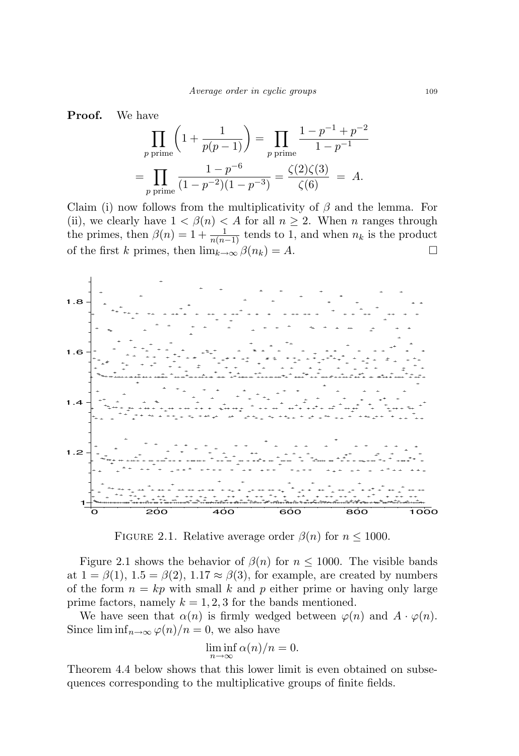Proof. We have

$$
\prod_{p \text{ prime}} \left( 1 + \frac{1}{p(p-1)} \right) = \prod_{p \text{ prime}} \frac{1 - p^{-1} + p^{-2}}{1 - p^{-1}}
$$

$$
= \prod_{p \text{ prime}} \frac{1 - p^{-6}}{(1 - p^{-2})(1 - p^{-3})} = \frac{\zeta(2)\zeta(3)}{\zeta(6)} = A.
$$

Claim (i) now follows from the multiplicativity of  $\beta$  and the lemma. For (ii), we clearly have  $1 < \beta(n) < A$  for all  $n \ge 2$ . When n ranges through the primes, then  $\beta(n) = 1 + \frac{1}{n(n-1)}$  tends to 1, and when  $n_k$  is the product of the first k primes, then  $\lim_{k\to\infty} \beta(n_k) = A$ .



FIGURE 2.1. Relative average order  $\beta(n)$  for  $n \leq 1000$ .

Figure 2.1 shows the behavior of  $\beta(n)$  for  $n \leq 1000$ . The visible bands at  $1 = \beta(1)$ ,  $1.5 = \beta(2)$ ,  $1.17 \approx \beta(3)$ , for example, are created by numbers of the form  $n = kp$  with small k and p either prime or having only large prime factors, namely  $k = 1, 2, 3$  for the bands mentioned.

We have seen that  $\alpha(n)$  is firmly wedged between  $\varphi(n)$  and  $A \cdot \varphi(n)$ . Since  $\liminf_{n\to\infty}\varphi(n)/n=0$ , we also have

$$
\liminf_{n \to \infty} \alpha(n)/n = 0.
$$

Theorem 4.4 below shows that this lower limit is even obtained on subsequences corresponding to the multiplicative groups of finite fields.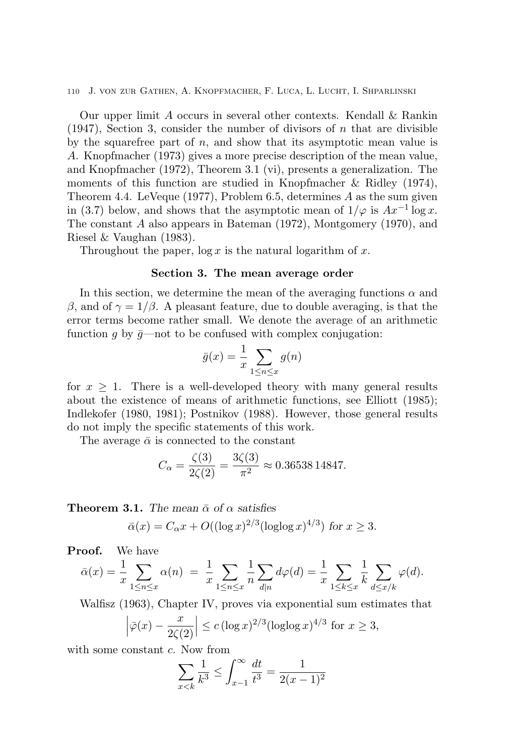Our upper limit A occurs in several other contexts. Kendall & Rankin  $(1947)$ , Section 3, consider the number of divisors of n that are divisible by the squarefree part of  $n$ , and show that its asymptotic mean value is A. Knopfmacher (1973) gives a more precise description of the mean value, and Knopfmacher (1972), Theorem 3.1 (vi), presents a generalization. The moments of this function are studied in Knopfmacher & Ridley (1974), Theorem 4.4. LeVeque (1977), Problem 6.5, determines  $A$  as the sum given in (3.7) below, and shows that the asymptotic mean of  $1/\varphi$  is  $Ax^{-1}\log x$ . The constant A also appears in Bateman (1972), Montgomery (1970), and Riesel & Vaughan (1983).

Throughout the paper,  $\log x$  is the natural logarithm of x.

#### Section 3. The mean average order

In this section, we determine the mean of the averaging functions  $\alpha$  and β, and of  $\gamma = 1/\beta$ . A pleasant feature, due to double averaging, is that the error terms become rather small. We denote the average of an arithmetic function g by  $\bar{g}$ —not to be confused with complex conjugation:

$$
\bar{g}(x) = \frac{1}{x} \sum_{1 \le n \le x} g(n)
$$

for  $x \geq 1$ . There is a well-developed theory with many general results about the existence of means of arithmetic functions, see Elliott (1985); Indlekofer (1980, 1981); Postnikov (1988). However, those general results do not imply the specific statements of this work.

The average  $\bar{\alpha}$  is connected to the constant

$$
C_{\alpha} = \frac{\zeta(3)}{2\zeta(2)} = \frac{3\zeta(3)}{\pi^2} \approx 0.36538\,14847.
$$

**Theorem 3.1.** The mean  $\bar{\alpha}$  of  $\alpha$  satisfies

$$
\bar{\alpha}(x) = C_{\alpha}x + O((\log x)^{2/3}(\log \log x)^{4/3})
$$
 for  $x \ge 3$ .

Proof. We have

$$
\bar{\alpha}(x) = \frac{1}{x} \sum_{1 \le n \le x} \alpha(n) = \frac{1}{x} \sum_{1 \le n \le x} \frac{1}{n} \sum_{d|n} d\varphi(d) = \frac{1}{x} \sum_{1 \le k \le x} \frac{1}{k} \sum_{d \le x/k} \varphi(d).
$$

Walfisz (1963), Chapter IV, proves via exponential sum estimates that

$$
\left|\bar{\varphi}(x) - \frac{x}{2\zeta(2)}\right| \le c \left(\log x\right)^{2/3} (\log \log x)^{4/3}
$$
 for  $x \ge 3$ ,

with some constant  $c$ . Now from

$$
\sum_{x < k} \frac{1}{k^3} \le \int_{x-1}^{\infty} \frac{dt}{t^3} = \frac{1}{2(x-1)^2}
$$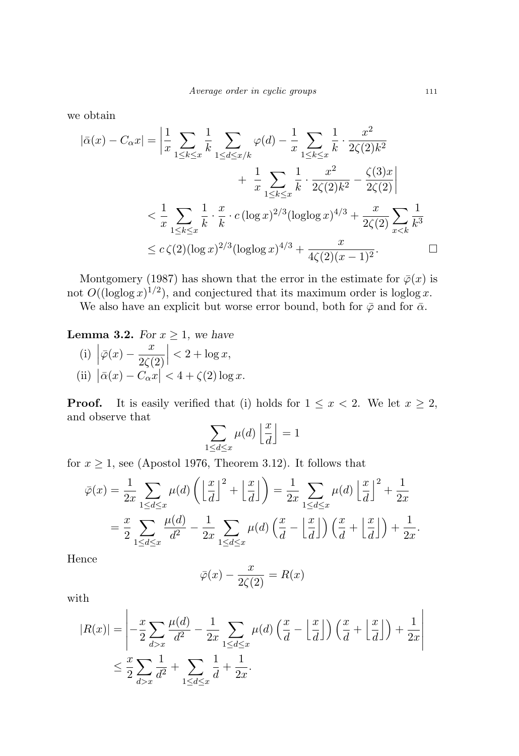we obtain

$$
|\bar{\alpha}(x) - C_{\alpha}x| = \left| \frac{1}{x} \sum_{1 \le k \le x} \frac{1}{k} \sum_{1 \le d \le x/k} \varphi(d) - \frac{1}{x} \sum_{1 \le k \le x} \frac{1}{k} \cdot \frac{x^2}{2\zeta(2)k^2} + \frac{1}{x} \sum_{1 \le k \le x} \frac{1}{k} \cdot \frac{x^2}{2\zeta(2)k^2} - \frac{\zeta(3)x}{2\zeta(2)} \right|
$$
  

$$
< \frac{1}{x} \sum_{1 \le k \le x} \frac{1}{k} \cdot \frac{x}{k} \cdot c (\log x)^{2/3} (\log \log x)^{4/3} + \frac{x}{2\zeta(2)} \sum_{x < k} \frac{1}{k^3}
$$
  

$$
\le c \zeta(2) (\log x)^{2/3} (\log \log x)^{4/3} + \frac{x}{4\zeta(2)(x-1)^2}.
$$

Montgomery (1987) has shown that the error in the estimate for  $\bar{\varphi}(x)$  is not  $O((\log \log x)^{1/2})$ , and conjectured that its maximum order is  $\log \log x$ .

We also have an explicit but worse error bound, both for  $\bar{\varphi}$  and for  $\bar{\alpha}$ .

**Lemma 3.2.** For  $x \geq 1$ , we have

(i) 
$$
\left| \bar{\varphi}(x) - \frac{x}{2\zeta(2)} \right| < 2 + \log x
$$
,  
(ii)  $\left| \bar{\alpha}(x) - C_{\alpha} x \right| < 4 + \zeta(2) \log x$ .

**Proof.** It is easily verified that (i) holds for  $1 \leq x < 2$ . We let  $x \geq 2$ , and observe that

$$
\sum_{1 \le d \le x} \mu(d) \left\lfloor \frac{x}{d} \right\rfloor = 1
$$

for  $x \ge 1$ , see (Apostol 1976, Theorem 3.12). It follows that

$$
\bar{\varphi}(x) = \frac{1}{2x} \sum_{1 \le d \le x} \mu(d) \left( \left\lfloor \frac{x}{d} \right\rfloor^2 + \left\lfloor \frac{x}{d} \right\rfloor \right) = \frac{1}{2x} \sum_{1 \le d \le x} \mu(d) \left\lfloor \frac{x}{d} \right\rfloor^2 + \frac{1}{2x}
$$

$$
= \frac{x}{2} \sum_{1 \le d \le x} \frac{\mu(d)}{d^2} - \frac{1}{2x} \sum_{1 \le d \le x} \mu(d) \left( \frac{x}{d} - \left\lfloor \frac{x}{d} \right\rfloor \right) \left( \frac{x}{d} + \left\lfloor \frac{x}{d} \right\rfloor \right) + \frac{1}{2x}.
$$

Hence

$$
\bar{\varphi}(x) - \frac{x}{2\zeta(2)} = R(x)
$$

with

$$
|R(x)| = \left| -\frac{x}{2} \sum_{d>x} \frac{\mu(d)}{d^2} - \frac{1}{2x} \sum_{1 \le d \le x} \mu(d) \left( \frac{x}{d} - \left\lfloor \frac{x}{d} \right\rfloor \right) \left( \frac{x}{d} + \left\lfloor \frac{x}{d} \right\rfloor \right) + \frac{1}{2x} \right|
$$
  

$$
\le \frac{x}{2} \sum_{d>x} \frac{1}{d^2} + \sum_{1 \le d \le x} \frac{1}{d} + \frac{1}{2x}.
$$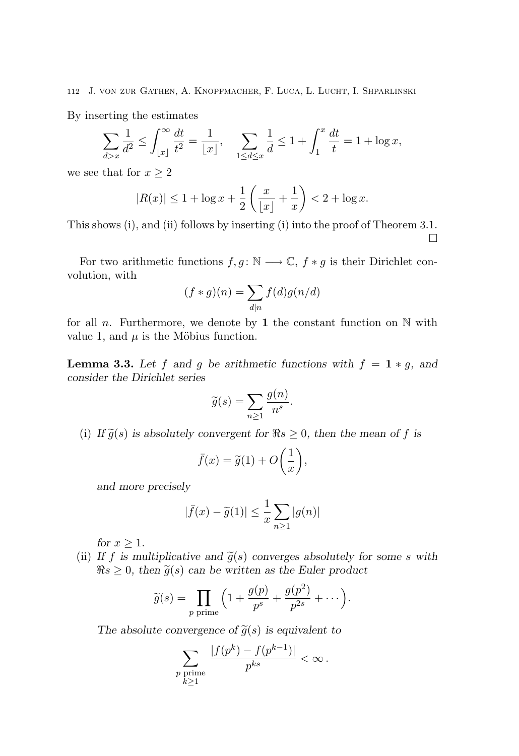By inserting the estimates

$$
\sum_{d>x} \frac{1}{d^2} \le \int_{\lfloor x \rfloor}^{\infty} \frac{dt}{t^2} = \frac{1}{\lfloor x \rfloor}, \quad \sum_{1 \le d \le x} \frac{1}{d} \le 1 + \int_1^x \frac{dt}{t} = 1 + \log x,
$$

we see that for  $x \geq 2$ 

$$
|R(x)| \le 1 + \log x + \frac{1}{2} \left( \frac{x}{\lfloor x \rfloor} + \frac{1}{x} \right) < 2 + \log x.
$$

This shows (i), and (ii) follows by inserting (i) into the proof of Theorem 3.1.  $\Box$ 

For two arithmetic functions  $f, g \colon \mathbb{N} \longrightarrow \mathbb{C}, f * g$  is their Dirichlet convolution, with

$$
(f*g)(n)=\sum_{d|n}f(d)g(n/d)
$$

for all n. Furthermore, we denote by 1 the constant function on  $\mathbb N$  with value 1, and  $\mu$  is the Möbius function.

**Lemma 3.3.** Let f and g be arithmetic functions with  $f = 1 * g$ , and consider the Dirichlet series

$$
\widetilde{g}(s) = \sum_{n \ge 1} \frac{g(n)}{n^s}.
$$

(i) If  $\tilde{g}(s)$  is absolutely convergent for  $\Re s \geq 0$ , then the mean of f is

$$
\bar{f}(x) = \tilde{g}(1) + O\left(\frac{1}{x}\right),
$$

and more precisely

$$
|\bar{f}(x) - \tilde{g}(1)| \le \frac{1}{x} \sum_{n \ge 1} |g(n)|
$$

for  $x > 1$ .

(ii) If f is multiplicative and  $\tilde{g}(s)$  converges absolutely for some s with  $\Re s \geq 0$ , then  $\widetilde{g}(s)$  can be written as the Euler product

$$
\widetilde{g}(s) = \prod_{p \text{ prime}} \left( 1 + \frac{g(p)}{p^s} + \frac{g(p^2)}{p^{2s}} + \cdots \right).
$$

The absolute convergence of  $\tilde{g}(s)$  is equivalent to

$$
\sum_{\substack{p \text{ prime} \\ k \geq 1}} \frac{|f(p^k) - f(p^{k-1})|}{p^{ks}} < \infty.
$$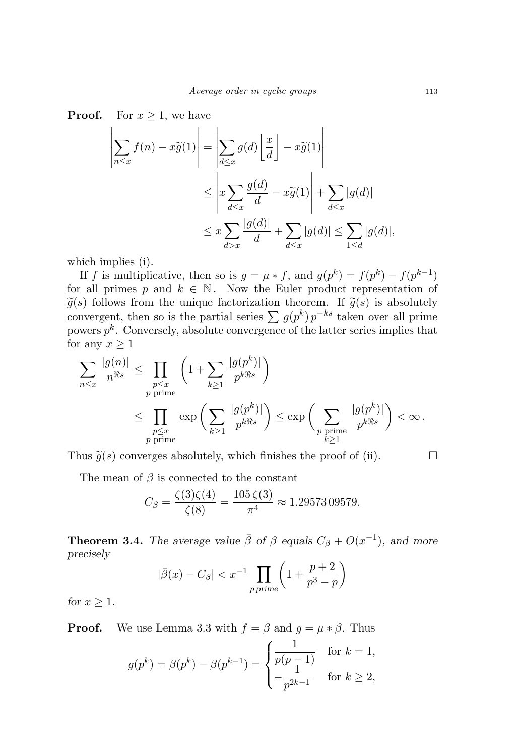**Proof.** For  $x \geq 1$ , we have

$$
\left| \sum_{n \le x} f(n) - x \widetilde{g}(1) \right| = \left| \sum_{d \le x} g(d) \left\lfloor \frac{x}{d} \right\rfloor - x \widetilde{g}(1) \right|
$$
  

$$
\le \left| x \sum_{d \le x} \frac{g(d)}{d} - x \widetilde{g}(1) \right| + \sum_{d \le x} |g(d)|
$$
  

$$
\le x \sum_{d > x} \frac{|g(d)|}{d} + \sum_{d \le x} |g(d)| \le \sum_{1 \le d} |g(d)|,
$$

which implies (i).

If f is multiplicative, then so is  $g = \mu * f$ , and  $g(p^k) = f(p^k) - f(p^{k-1})$ for all primes p and  $k \in \mathbb{N}$ . Now the Euler product representation of  $\tilde{g}(s)$  follows from the unique factorization theorem. If  $\tilde{g}(s)$  is absolutely convergent, then so is the partial series  $\sum g(p^k) p^{-ks}$  taken over all prime powers  $p^k$ . Conversely, absolute convergence of the latter series implies that for any  $x \geq 1$ 

$$
\sum_{n \leq x} \frac{|g(n)|}{n^{\Re s}} \leq \prod_{\substack{p \leq x \\ p \text{ prime}}} \left( 1 + \sum_{k \geq 1} \frac{|g(p^k)|}{p^{k\Re s}} \right)
$$
  

$$
\leq \prod_{\substack{p \leq x \\ p \text{ prime}}} \exp \left( \sum_{k \geq 1} \frac{|g(p^k)|}{p^{k\Re s}} \right) \leq \exp \left( \sum_{\substack{p \text{ prime} \\ k \geq 1}} \frac{|g(p^k)|}{p^{k\Re s}} \right) < \infty.
$$

Thus  $\tilde{g}(s)$  converges absolutely, which finishes the proof of (ii).

The mean of  $\beta$  is connected to the constant

$$
C_{\beta} = \frac{\zeta(3)\zeta(4)}{\zeta(8)} = \frac{105\,\zeta(3)}{\pi^4} \approx 1.29573\,09579.
$$

**Theorem 3.4.** The average value  $\bar{\beta}$  of  $\beta$  equals  $C_{\beta} + O(x^{-1})$ , and more precisely

$$
|\bar{\beta}(x) - C_{\beta}| < x^{-1} \prod_{p \text{ prime}} \left( 1 + \frac{p+2}{p^3 - p} \right)
$$

for  $x \geq 1$ .

**Proof.** We use Lemma 3.3 with  $f = \beta$  and  $g = \mu * \beta$ . Thus

$$
g(p^{k}) = \beta(p^{k}) - \beta(p^{k-1}) = \begin{cases} \frac{1}{p(p-1)} & \text{for } k = 1, \\ -\frac{1}{p^{2k-1}} & \text{for } k \ge 2, \end{cases}
$$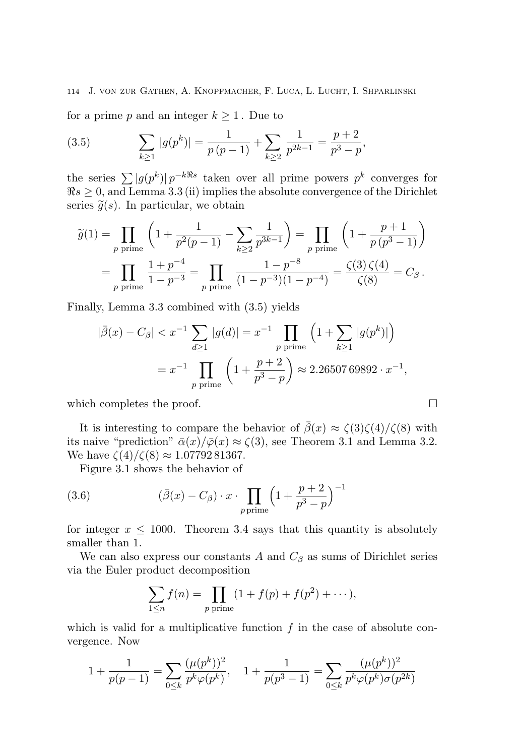for a prime p and an integer  $k \geq 1$ . Due to

(3.5) 
$$
\sum_{k\geq 1} |g(p^k)| = \frac{1}{p(p-1)} + \sum_{k\geq 2} \frac{1}{p^{2k-1}} = \frac{p+2}{p^3 - p},
$$

the series  $\sum |g(p^k)| p^{-k\Re s}$  taken over all prime powers  $p^k$  converges for  $\Re s \geq 0$ , and Lemma 3.3 (ii) implies the absolute convergence of the Dirichlet series  $\tilde{q}(s)$ . In particular, we obtain

$$
\widetilde{g}(1) = \prod_{p \text{ prime}} \left( 1 + \frac{1}{p^2(p-1)} - \sum_{k \ge 2} \frac{1}{p^{3k-1}} \right) = \prod_{p \text{ prime}} \left( 1 + \frac{p+1}{p(p^3-1)} \right)
$$
  
= 
$$
\prod_{p \text{ prime}} \frac{1+p^{-4}}{1-p^{-3}} = \prod_{p \text{ prime}} \frac{1-p^{-8}}{(1-p^{-3})(1-p^{-4})} = \frac{\zeta(3)\,\zeta(4)}{\zeta(8)} = C_{\beta}.
$$

Finally, Lemma 3.3 combined with (3.5) yields

$$
|\bar{\beta}(x) - C_{\beta}| < x^{-1} \sum_{d \ge 1} |g(d)| = x^{-1} \prod_{p \text{ prime}} \left( 1 + \sum_{k \ge 1} |g(p^k)| \right)
$$
\n
$$
= x^{-1} \prod_{p \text{ prime}} \left( 1 + \frac{p+2}{p^3 - p} \right) \approx 2.2650769892 \cdot x^{-1},
$$

which completes the proof.

It is interesting to compare the behavior of  $\bar{\beta}(x) \approx \zeta(3)\zeta(4)/\zeta(8)$  with its naive "prediction"  $\bar{\alpha}(x)/\bar{\varphi}(x) \approx \zeta(3)$ , see Theorem 3.1 and Lemma 3.2. We have  $\zeta(4)/\zeta(8) \approx 1.0779281367$ .

Figure 3.1 shows the behavior of

(3.6) 
$$
(\bar{\beta}(x) - C_{\beta}) \cdot x \cdot \prod_{p \text{ prime}} \left(1 + \frac{p+2}{p^3 - p}\right)^{-1}
$$

for integer  $x \leq 1000$ . Theorem 3.4 says that this quantity is absolutely smaller than 1.

We can also express our constants A and  $C_\beta$  as sums of Dirichlet series via the Euler product decomposition

$$
\sum_{1 \le n} f(n) = \prod_{p \text{ prime}} (1 + f(p) + f(p^2) + \cdots),
$$

which is valid for a multiplicative function  $f$  in the case of absolute convergence. Now

$$
1 + \frac{1}{p(p-1)} = \sum_{0 \le k} \frac{(\mu(p^k))^2}{p^k \varphi(p^k)}, \quad 1 + \frac{1}{p(p^3 - 1)} = \sum_{0 \le k} \frac{(\mu(p^k))^2}{p^k \varphi(p^k) \sigma(p^{2k})}
$$

$$
\qquad \qquad \Box
$$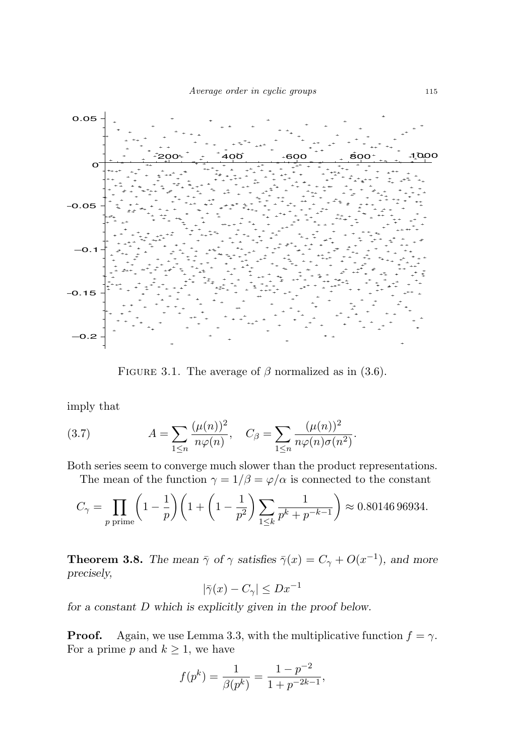

FIGURE 3.1. The average of  $\beta$  normalized as in (3.6).

imply that

(3.7) 
$$
A = \sum_{1 \le n} \frac{(\mu(n))^2}{n\varphi(n)}, \quad C_{\beta} = \sum_{1 \le n} \frac{(\mu(n))^2}{n\varphi(n)\sigma(n^2)}.
$$

Both series seem to converge much slower than the product representations.

The mean of the function  $\gamma = 1/\beta = \varphi/\alpha$  is connected to the constant

$$
C_{\gamma} = \prod_{p \text{ prime}} \left( 1 - \frac{1}{p} \right) \left( 1 + \left( 1 - \frac{1}{p^2} \right) \sum_{1 \le k} \frac{1}{p^k + p^{-k-1}} \right) \approx 0.80146\,96934.
$$

**Theorem 3.8.** The mean  $\bar{\gamma}$  of  $\gamma$  satisfies  $\bar{\gamma}(x) = C_{\gamma} + O(x^{-1})$ , and more precisely,

$$
|\bar{\gamma}(x) - C_{\gamma}| \le Dx^{-1}
$$

for a constant D which is explicitly given in the proof below.

**Proof.** Again, we use Lemma 3.3, with the multiplicative function  $f = \gamma$ . For a prime p and  $k \geq 1$ , we have

$$
f(p^k) = \frac{1}{\beta(p^k)} = \frac{1 - p^{-2}}{1 + p^{-2k - 1}},
$$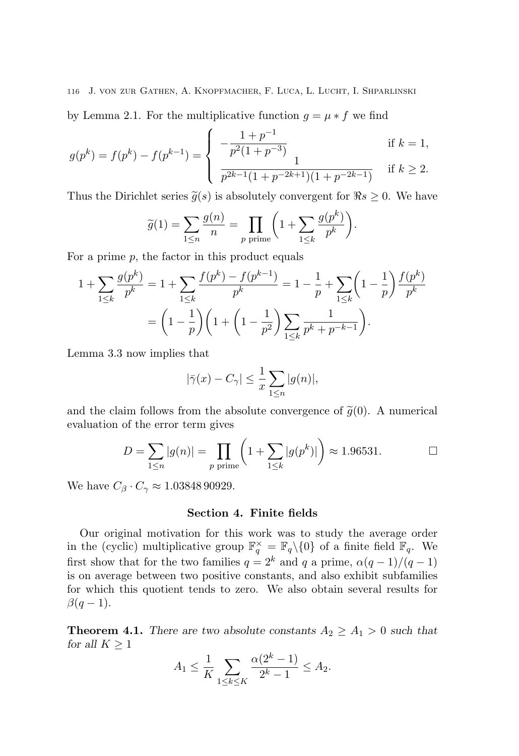by Lemma 2.1. For the multiplicative function  $g = \mu * f$  we find

$$
g(p^k) = f(p^k) - f(p^{k-1}) = \begin{cases} -\frac{1+p^{-1}}{p^2(1+p^{-3})} & \text{if } k = 1, \\ \frac{1}{p^{2k-1}(1+p^{-2k+1})(1+p^{-2k-1})} & \text{if } k \ge 2. \end{cases}
$$

Thus the Dirichlet series  $\widetilde{g}(s)$  is absolutely convergent for  $\Re s \geq 0$ . We have

$$
\widetilde{g}(1) = \sum_{1 \le n} \frac{g(n)}{n} = \prod_{p \text{ prime}} \left( 1 + \sum_{1 \le k} \frac{g(p^k)}{p^k} \right).
$$

For a prime  $p$ , the factor in this product equals

$$
1 + \sum_{1 \le k} \frac{g(p^k)}{p^k} = 1 + \sum_{1 \le k} \frac{f(p^k) - f(p^{k-1})}{p^k} = 1 - \frac{1}{p} + \sum_{1 \le k} \left(1 - \frac{1}{p}\right) \frac{f(p^k)}{p^k}
$$

$$
= \left(1 - \frac{1}{p}\right) \left(1 + \left(1 - \frac{1}{p^2}\right) \sum_{1 \le k} \frac{1}{p^k + p^{-k-1}}\right).
$$

Lemma 3.3 now implies that

$$
|\bar{\gamma}(x) - C_{\gamma}| \le \frac{1}{x} \sum_{1 \le n} |g(n)|,
$$

and the claim follows from the absolute convergence of  $\tilde{g}(0)$ . A numerical evaluation of the error term gives

$$
D = \sum_{1 \le n} |g(n)| = \prod_{p \text{ prime}} \left( 1 + \sum_{1 \le k} |g(p^k)| \right) \approx 1.96531.
$$

We have  $C_\beta \cdot C_\gamma \approx 1.0384890929$ .

#### Section 4. Finite fields

Our original motivation for this work was to study the average order in the (cyclic) multiplicative group  $\mathbb{F}_q^{\times} = \mathbb{F}_q \setminus \{0\}$  of a finite field  $\mathbb{F}_q$ . We first show that for the two families  $q = 2^k$  and q a prime,  $\alpha(q-1)/(q-1)$ is on average between two positive constants, and also exhibit subfamilies for which this quotient tends to zero. We also obtain several results for  $\beta(q-1)$ .

**Theorem 4.1.** There are two absolute constants  $A_2 \geq A_1 > 0$  such that for all  $K \geq 1$ 

$$
A_1 \le \frac{1}{K} \sum_{1 \le k \le K} \frac{\alpha (2^k - 1)}{2^k - 1} \le A_2.
$$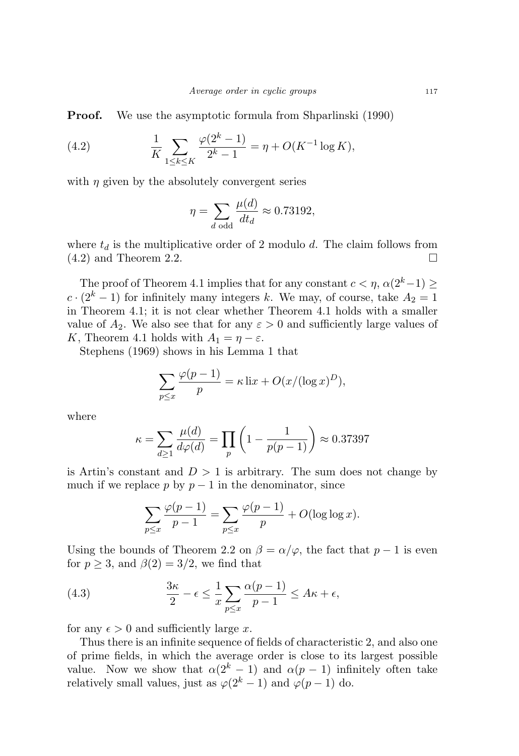**Proof.** We use the asymptotic formula from Shparlinski (1990)

(4.2) 
$$
\frac{1}{K} \sum_{1 \le k \le K} \frac{\varphi(2^k - 1)}{2^k - 1} = \eta + O(K^{-1} \log K),
$$

with  $\eta$  given by the absolutely convergent series

$$
\eta = \sum_{d \text{ odd}} \frac{\mu(d)}{dt_d} \approx 0.73192,
$$

where  $t_d$  is the multiplicative order of 2 modulo d. The claim follows from  $(4.2)$  and Theorem 2.2.

The proof of Theorem 4.1 implies that for any constant  $c < \eta$ ,  $\alpha(2^k-1) \ge$  $c \cdot (2^k - 1)$  for infinitely many integers k. We may, of course, take  $A_2 = 1$ in Theorem 4.1; it is not clear whether Theorem 4.1 holds with a smaller value of  $A_2$ . We also see that for any  $\varepsilon > 0$  and sufficiently large values of K, Theorem 4.1 holds with  $A_1 = \eta - \varepsilon$ .

Stephens (1969) shows in his Lemma 1 that

$$
\sum_{p \le x} \frac{\varphi(p-1)}{p} = \kappa \operatorname{li} x + O(x/(\log x)^D),
$$

where

$$
\kappa = \sum_{d \ge 1} \frac{\mu(d)}{d\varphi(d)} = \prod_p \left( 1 - \frac{1}{p(p-1)} \right) \approx 0.37397
$$

is Artin's constant and  $D > 1$  is arbitrary. The sum does not change by much if we replace p by  $p-1$  in the denominator, since

$$
\sum_{p\leq x} \frac{\varphi(p-1)}{p-1} = \sum_{p\leq x} \frac{\varphi(p-1)}{p} + O(\log \log x).
$$

Using the bounds of Theorem 2.2 on  $\beta = \alpha/\varphi$ , the fact that  $p-1$  is even for  $p \geq 3$ , and  $\beta(2) = 3/2$ , we find that

(4.3) 
$$
\frac{3\kappa}{2} - \epsilon \le \frac{1}{x} \sum_{p \le x} \frac{\alpha(p-1)}{p-1} \le A\kappa + \epsilon,
$$

for any  $\epsilon > 0$  and sufficiently large x.

Thus there is an infinite sequence of fields of characteristic 2, and also one of prime fields, in which the average order is close to its largest possible value. Now we show that  $\alpha(2^k-1)$  and  $\alpha(p-1)$  infinitely often take relatively small values, just as  $\varphi(2^k-1)$  and  $\varphi(p-1)$  do.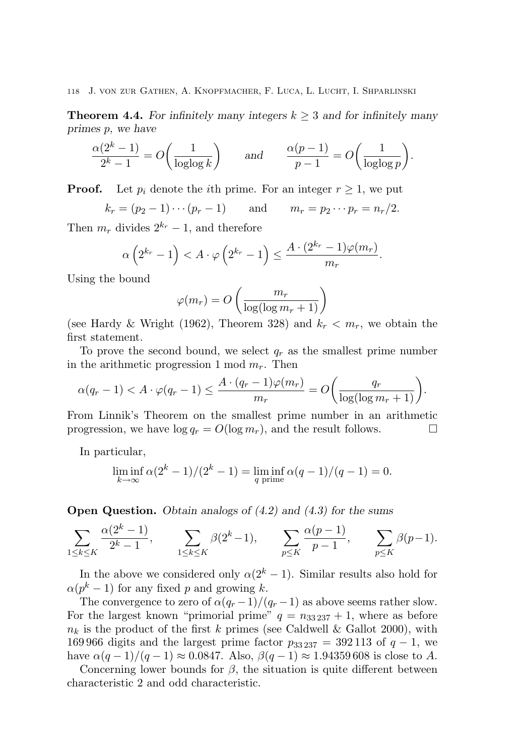**Theorem 4.4.** For infinitely many integers  $k \geq 3$  and for infinitely many primes p, we have

$$
\frac{\alpha(2^k - 1)}{2^k - 1} = O\left(\frac{1}{\log \log k}\right) \quad \text{and} \quad \frac{\alpha(p - 1)}{p - 1} = O\left(\frac{1}{\log \log p}\right).
$$

**Proof.** Let  $p_i$  denote the *i*th prime. For an integer  $r \geq 1$ , we put

 $k_r = (p_2 - 1) \cdots (p_r - 1)$  and  $m_r = p_2 \cdots p_r = n_r/2$ .

Then  $m_r$  divides  $2^{k_r} - 1$ , and therefore

$$
\alpha\left(2^{k_r}-1\right) < A \cdot \varphi\left(2^{k_r}-1\right) \leq \frac{A \cdot (2^{k_r}-1) \varphi(m_r)}{m_r}.
$$

Using the bound

$$
\varphi(m_r) = O\left(\frac{m_r}{\log(\log m_r + 1)}\right)
$$

(see Hardy & Wright (1962), Theorem 328) and  $k_r < m_r$ , we obtain the first statement.

To prove the second bound, we select  $q_r$  as the smallest prime number in the arithmetic progression 1 mod  $m_r$ . Then

$$
\alpha(q_r - 1) < A \cdot \varphi(q_r - 1) \le \frac{A \cdot (q_r - 1)\varphi(m_r)}{m_r} = O\left(\frac{q_r}{\log(\log m_r + 1)}\right).
$$

From Linnik's Theorem on the smallest prime number in an arithmetic progression, we have  $\log q_r = O(\log m_r)$ , and the result follows.

In particular,

$$
\liminf_{k \to \infty} \alpha (2^{k} - 1) / (2^{k} - 1) = \liminf_{q \text{ prime}} \alpha (q - 1) / (q - 1) = 0.
$$

**Open Question.** Obtain analogs of (4.2) and (4.3) for the sums

$$
\sum_{1\leq k\leq K} \frac{\alpha(2^k-1)}{2^k-1}, \qquad \sum_{1\leq k\leq K} \beta(2^k-1), \qquad \sum_{p\leq K} \frac{\alpha(p-1)}{p-1}, \qquad \sum_{p\leq K} \beta(p-1).
$$

In the above we considered only  $\alpha(2^k-1)$ . Similar results also hold for  $\alpha(p^k-1)$  for any fixed p and growing k.

The convergence to zero of  $\alpha(q_r-1)/(q_r-1)$  as above seems rather slow. For the largest known "primorial prime"  $q = n_{33237} + 1$ , where as before  $n_k$  is the product of the first k primes (see Caldwell & Gallot 2000), with 169 966 digits and the largest prime factor  $p_{33\,237} = 392\,113$  of  $q - 1$ , we have  $\alpha(q-1)/(q-1) \approx 0.0847$ . Also,  $\beta(q-1) \approx 1.94359608$  is close to A.

Concerning lower bounds for  $\beta$ , the situation is quite different between characteristic 2 and odd characteristic.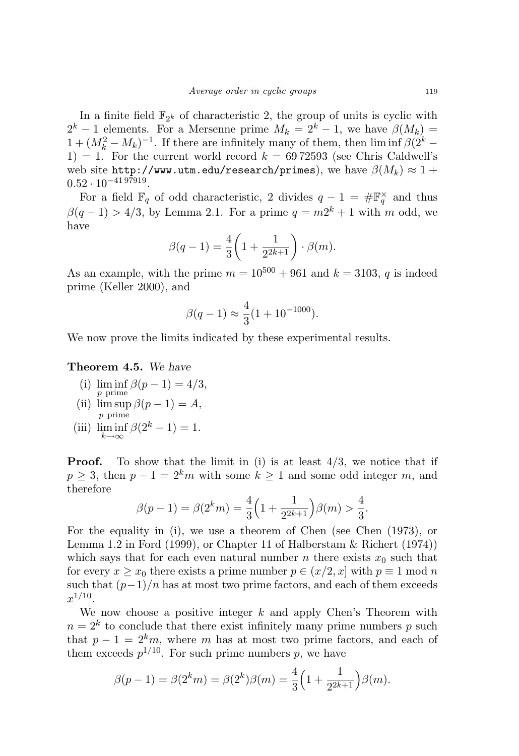In a finite field  $\mathbb{F}_{2^k}$  of characteristic 2, the group of units is cyclic with  $2^k - 1$  elements. For a Mersenne prime  $M_k = 2^k - 1$ , we have  $\beta(M_k) =$  $1 + (M_k^2 - M_k)^{-1}$ . If there are infinitely many of them, then lim inf  $\beta (2^k -$ 1) = 1. For the current world record  $k = 6972593$  (see Chris Caldwell's web site http://www.utm.edu/research/primes), we have  $\beta(M_k) \approx 1 +$  $0.52 \cdot 10^{-41\,97919}.$ 

For a field  $\mathbb{F}_q$  of odd characteristic, 2 divides  $q-1 = \#\mathbb{F}_q^{\times}$  and thus  $\beta(q-1) > 4/3$ , by Lemma 2.1. For a prime  $q = m2^k + 1$  with m odd, we have

$$
\beta(q-1) = \frac{4}{3} \left( 1 + \frac{1}{2^{2k+1}} \right) \cdot \beta(m).
$$

As an example, with the prime  $m = 10^{500} + 961$  and  $k = 3103$ , q is indeed prime (Keller 2000), and

$$
\beta(q-1) \approx \frac{4}{3} (1 + 10^{-1000}).
$$

We now prove the limits indicated by these experimental results.

#### Theorem 4.5. We have

- (i)  $\liminf \beta(p-1) = 4/3$ , p prime
- (ii)  $\limsup \beta(p-1) = A$ , p prime
- (iii)  $\liminf_{k \to \infty} \beta(2^k 1) = 1.$

**Proof.** To show that the limit in (i) is at least  $4/3$ , we notice that if  $p > 3$ , then  $p - 1 = 2<sup>k</sup>m$  with some  $k > 1$  and some odd integer m, and therefore

$$
\beta(p-1) = \beta(2^k m) = \frac{4}{3} \left( 1 + \frac{1}{2^{2k+1}} \right) \beta(m) > \frac{4}{3}.
$$

For the equality in (i), we use a theorem of Chen (see Chen (1973), or Lemma 1.2 in Ford (1999), or Chapter 11 of Halberstam & Richert (1974)) which says that for each even natural number n there exists  $x_0$  such that for every  $x \ge x_0$  there exists a prime number  $p \in (x/2, x]$  with  $p \equiv 1 \mod n$ such that  $(p-1)/n$  has at most two prime factors, and each of them exceeds  $x^{1/10}$ .

We now choose a positive integer  $k$  and apply Chen's Theorem with  $n = 2<sup>k</sup>$  to conclude that there exist infinitely many prime numbers p such that  $p-1 = 2<sup>k</sup>m$ , where m has at most two prime factors, and each of them exceeds  $p^{1/10}$ . For such prime numbers p, we have

$$
\beta(p-1) = \beta(2^k m) = \beta(2^k)\beta(m) = \frac{4}{3}\left(1 + \frac{1}{2^{2k+1}}\right)\beta(m).
$$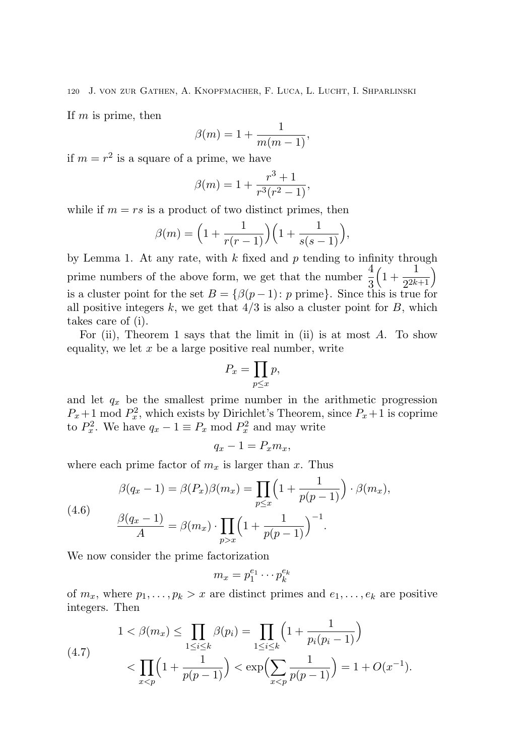If  $m$  is prime, then

$$
\beta(m) = 1 + \frac{1}{m(m-1)},
$$

if  $m = r^2$  is a square of a prime, we have

$$
\beta(m) = 1 + \frac{r^3 + 1}{r^3(r^2 - 1)},
$$

while if  $m = rs$  is a product of two distinct primes, then

$$
\beta(m) = \left(1 + \frac{1}{r(r-1)}\right)\left(1 + \frac{1}{s(s-1)}\right),\,
$$

by Lemma 1. At any rate, with  $k$  fixed and  $p$  tending to infinity through prime numbers of the above form, we get that the number  $\frac{4}{3}$  $\left(1 + \frac{1}{2^{2k}}\right)$  $\frac{1}{2^{2k+1}}$ is a cluster point for the set  $B = \{ \beta(p-1) : p \text{ prime} \}.$  Since this is true for all positive integers  $k$ , we get that  $4/3$  is also a cluster point for  $B$ , which takes care of (i).

For (ii), Theorem 1 says that the limit in (ii) is at most  $A$ . To show equality, we let  $x$  be a large positive real number, write

$$
P_x = \prod_{p \le x} p,
$$

and let  $q_x$  be the smallest prime number in the arithmetic progression  $P_x + 1 \mod P_x^2$ , which exists by Dirichlet's Theorem, since  $P_x + 1$  is coprime to  $P_x^2$ . We have  $q_x - 1 \equiv P_x \mod P_x^2$  and may write

$$
q_x - 1 = P_x m_x,
$$

where each prime factor of  $m_x$  is larger than x. Thus

(4.6) 
$$
\beta(q_x - 1) = \beta(P_x)\beta(m_x) = \prod_{p \le x} \left(1 + \frac{1}{p(p-1)}\right) \cdot \beta(m_x),
$$

$$
\frac{\beta(q_x - 1)}{A} = \beta(m_x) \cdot \prod_{p > x} \left(1 + \frac{1}{p(p-1)}\right)^{-1}.
$$

We now consider the prime factorization

$$
m_x = p_1^{e_1} \cdots p_k^{e_k}
$$

of  $m_x$ , where  $p_1, \ldots, p_k > x$  are distinct primes and  $e_1, \ldots, e_k$  are positive integers. Then

$$
(4.7) \quad 1 < \beta(m_x) \le \prod_{1 \le i \le k} \beta(p_i) = \prod_{1 \le i \le k} \left( 1 + \frac{1}{p_i(p_i - 1)} \right) \\ < \prod_{x < p} \left( 1 + \frac{1}{p(p - 1)} \right) < \exp\left( \sum_{x < p} \frac{1}{p(p - 1)} \right) = 1 + O(x^{-1}).
$$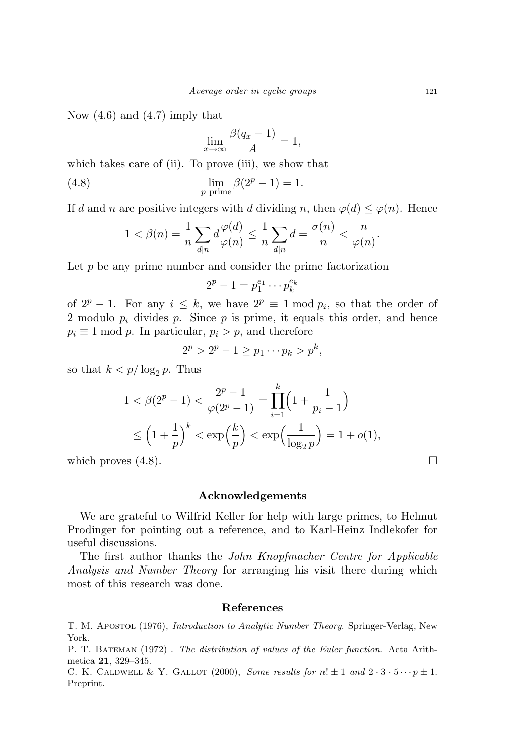Now  $(4.6)$  and  $(4.7)$  imply that

$$
\lim_{x \to \infty} \frac{\beta(q_x - 1)}{A} = 1,
$$

which takes care of (ii). To prove (iii), we show that

(4.8) 
$$
\lim_{p \text{ prime}} \beta(2^p - 1) = 1.
$$

If d and n are positive integers with d dividing n, then  $\varphi(d) \leq \varphi(n)$ . Hence

$$
1 < \beta(n) = \frac{1}{n} \sum_{d|n} d \frac{\varphi(d)}{\varphi(n)} \le \frac{1}{n} \sum_{d|n} d = \frac{\sigma(n)}{n} < \frac{n}{\varphi(n)}.
$$

Let  $p$  be any prime number and consider the prime factorization

$$
2^p-1=p_1^{e_1}\cdots p_k^{e_k}
$$

of  $2^p - 1$ . For any  $i \leq k$ , we have  $2^p \equiv 1 \mod p_i$ , so that the order of 2 modulo  $p_i$  divides  $p$ . Since  $p$  is prime, it equals this order, and hence  $p_i \equiv 1 \mod p$ . In particular,  $p_i > p$ , and therefore

$$
2^p > 2^p - 1 \ge p_1 \cdots p_k > p^k,
$$

so that  $k < p/\log_2 p$ . Thus

$$
1 < \beta(2^p - 1) < \frac{2^p - 1}{\varphi(2^p - 1)} = \prod_{i=1}^k \left(1 + \frac{1}{p_i - 1}\right)
$$
  
\$\leq \left(1 + \frac{1}{p}\right)^k < \exp\left(\frac{k}{p}\right) < \exp\left(\frac{1}{\log\_2 p}\right) = 1 + o(1),\$

which proves  $(4.8)$ .

#### Acknowledgements

We are grateful to Wilfrid Keller for help with large primes, to Helmut Prodinger for pointing out a reference, and to Karl-Heinz Indlekofer for useful discussions.

The first author thanks the John Knopfmacher Centre for Applicable Analysis and Number Theory for arranging his visit there during which most of this research was done.

#### References

T. M. Apostol (1976), Introduction to Analytic Number Theory. Springer-Verlag, New York.

P. T. BATEMAN (1972). The distribution of values of the Euler function. Acta Arithmetica 21, 329–345.

C. K. CALDWELL & Y. GALLOT (2000), Some results for  $n! \pm 1$  and  $2 \cdot 3 \cdot 5 \cdots p \pm 1$ . Preprint.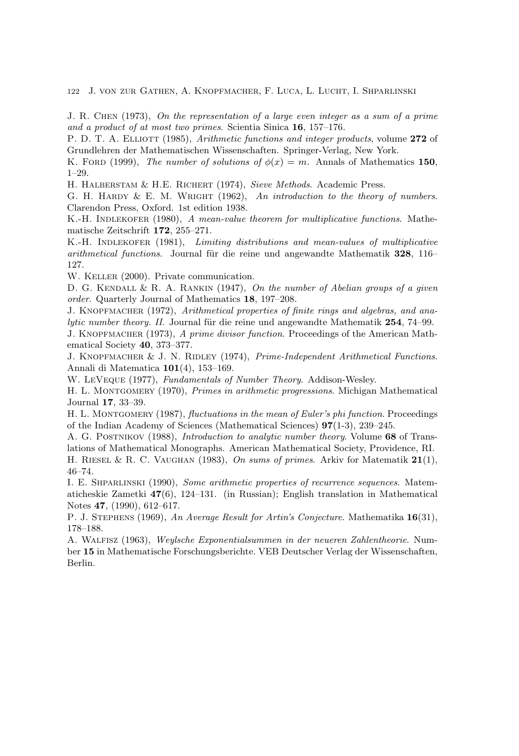J. R. Chen (1973), On the representation of a large even integer as a sum of a prime and a product of at most two primes. Scientia Sinica 16, 157–176.

P. D. T. A. ELLIOTT (1985), Arithmetic functions and integer products, volume 272 of Grundlehren der Mathematischen Wissenschaften. Springer-Verlag, New York.

K. FORD (1999), The number of solutions of  $\phi(x) = m$ . Annals of Mathematics 150, 1–29.

H. HALBERSTAM & H.E. RICHERT (1974), Sieve Methods. Academic Press.

G. H. HARDY & E. M. WRIGHT  $(1962)$ , An introduction to the theory of numbers. Clarendon Press, Oxford. 1st edition 1938.

K.-H. INDLEKOFER (1980), A mean-value theorem for multiplicative functions. Mathematische Zeitschrift 172, 255–271.

K.-H. INDLEKOFER (1981), Limiting distributions and mean-values of multiplicative arithmetical functions. Journal für die reine und angewandte Mathematik 328, 116– 127.

W. KELLER (2000). Private communication.

D. G. KENDALL & R. A. RANKIN (1947), On the number of Abelian groups of a given order. Quarterly Journal of Mathematics 18, 197–208.

J. KNOPFMACHER (1972), Arithmetical properties of finite rings and algebras, and ana $lytic number theory. II. Journal für die reine und angewandte Mathematik 254, 74–99.$ 

J. KNOPFMACHER (1973), A prime divisor function. Proceedings of the American Mathematical Society 40, 373–377.

J. KNOPFMACHER & J. N. RIDLEY (1974), Prime-Independent Arithmetical Functions. Annali di Matematica 101(4), 153–169.

W. LeVeque (1977), Fundamentals of Number Theory. Addison-Wesley.

H. L. MONTGOMERY (1970), Primes in arithmetic progressions. Michigan Mathematical Journal 17, 33–39.

H. L. MONTGOMERY (1987), fluctuations in the mean of Euler's phi function. Proceedings of the Indian Academy of Sciences (Mathematical Sciences) 97(1-3), 239–245.

A. G. POSTNIKOV (1988), *Introduction to analytic number theory*. Volume 68 of Translations of Mathematical Monographs. American Mathematical Society, Providence, RI.

H. RIESEL & R. C. VAUGHAN (1983), On sums of primes. Arkiv for Matematik  $21(1)$ , 46–74.

I. E. Shparlinski (1990), Some arithmetic properties of recurrence sequences. Matematicheskie Zametki 47(6), 124–131. (in Russian); English translation in Mathematical Notes 47, (1990), 612–617.

P. J. STEPHENS (1969), An Average Result for Artin's Conjecture. Mathematika 16(31), 178–188.

A. Walfisz (1963), Weylsche Exponentialsummen in der neueren Zahlentheorie. Number 15 in Mathematische Forschungsberichte. VEB Deutscher Verlag der Wissenschaften, Berlin.